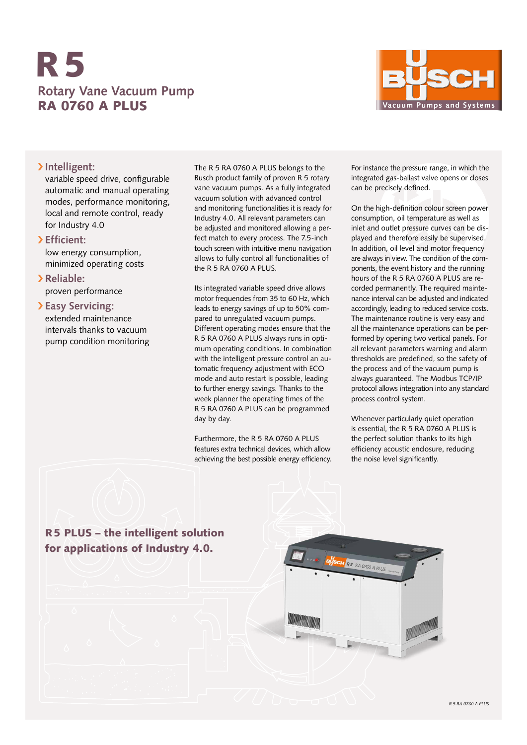# **Rotary Vane Vacuum Pump** RA 0760 A PLUS R5



### › **Intelligent:**

variable speed drive, configurable automatic and manual operating modes, performance monitoring, local and remote control, ready for Industry 4.0

### › **Efficient:**

low energy consumption, minimized operating costs

› **Reliable:** proven performance

### › **Easy Servicing:** extended maintenance intervals thanks to vacuum pump condition monitoring

The R 5 RA 0760 A PLUS belongs to the Busch product family of proven R 5 rotary vane vacuum pumps. As a fully integrated vacuum solution with advanced control and monitoring functionalities it is ready for Industry 4.0. All relevant parameters can be adjusted and monitored allowing a perfect match to every process. The 7.5-inch touch screen with intuitive menu navigation allows to fully control all functionalities of the R 5 RA 0760 A PLUS.

Its integrated variable speed drive allows motor frequencies from 35 to 60 Hz, which leads to energy savings of up to 50% compared to unregulated vacuum pumps. Different operating modes ensure that the R 5 RA 0760 A PLUS always runs in optimum operating conditions. In combination with the intelligent pressure control an automatic frequency adjustment with ECO mode and auto restart is possible, leading to further energy savings. Thanks to the week planner the operating times of the R 5 RA 0760 A PLUS can be programmed day by day.

Furthermore, the R 5 RA 0760 A PLUS features extra technical devices, which allow achieving the best possible energy efficiency. For instance the pressure range, in which the integrated gas-ballast valve opens or closes can be precisely defined.

On the high-definition colour screen power consumption, oil temperature as well as inlet and outlet pressure curves can be displayed and therefore easily be supervised. In addition, oil level and motor frequency are always in view. The condition of the components, the event history and the running hours of the R 5 RA 0760 A PLUS are recorded permanently. The required maintenance interval can be adjusted and indicated accordingly, leading to reduced service costs. The maintenance routine is very easy and all the maintenance operations can be performed by opening two vertical panels. For all relevant parameters warning and alarm thresholds are predefined, so the safety of the process and of the vacuum pump is always guaranteed. The Modbus TCP/IP protocol allows integration into any standard process control system.

Whenever particularly quiet operation is essential, the R 5 RA 0760 A PLUS is the perfect solution thanks to its high efficiency acoustic enclosure, reducing the noise level significantly.

## R5 PLUS – the intelligent solution for applications of Industry 4.0.